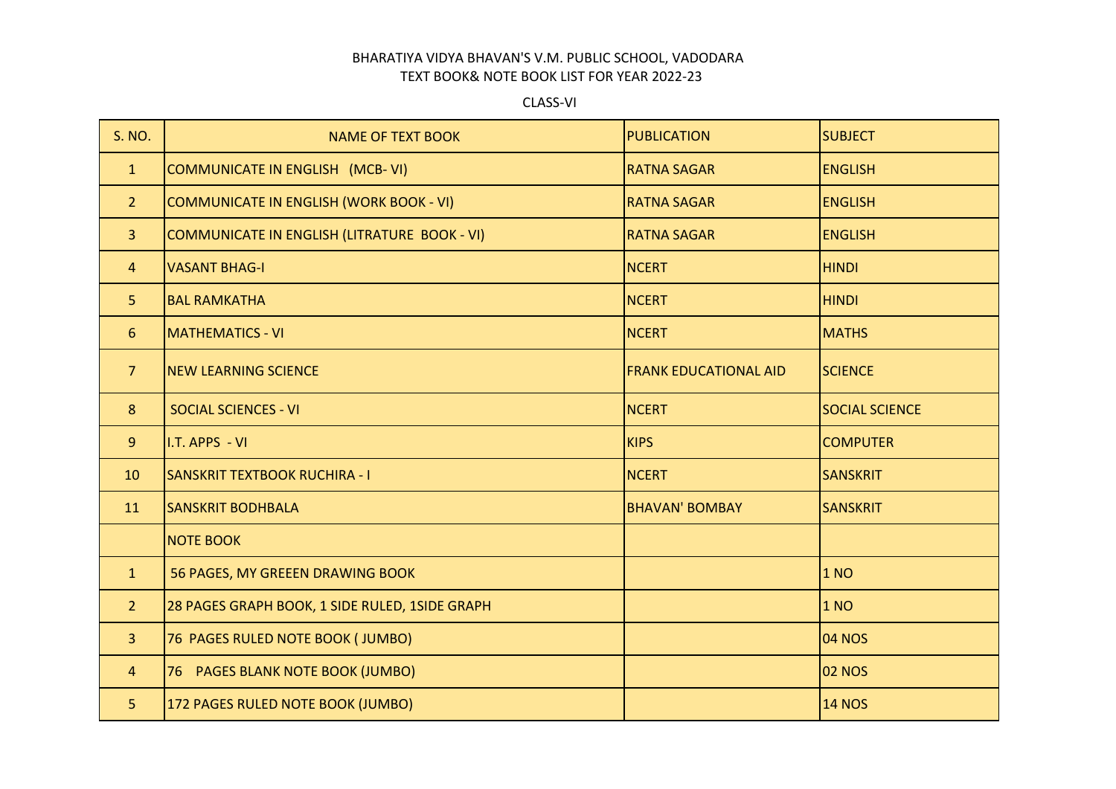## BHARATIYA VIDYA BHAVAN'S V.M. PUBLIC SCHOOL, VADODARA TEXT BOOK& NOTE BOOK LIST FOR YEAR 2022-23

CLASS-VI

| S. NO.         | <b>NAME OF TEXT BOOK</b>                       | <b>PUBLICATION</b>           | <b>SUBJECT</b>        |
|----------------|------------------------------------------------|------------------------------|-----------------------|
| $\mathbf{1}$   | COMMUNICATE IN ENGLISH (MCB-VI)                | <b>RATNA SAGAR</b>           | <b>ENGLISH</b>        |
| 2 <sup>2</sup> | COMMUNICATE IN ENGLISH (WORK BOOK - VI)        | <b>RATNA SAGAR</b>           | <b>ENGLISH</b>        |
| $\overline{3}$ | COMMUNICATE IN ENGLISH (LITRATURE BOOK - VI)   | <b>RATNA SAGAR</b>           | <b>ENGLISH</b>        |
| $\overline{4}$ | <b>VASANT BHAG-I</b>                           | <b>NCERT</b>                 | <b>HINDI</b>          |
| 5              | <b>BAL RAMKATHA</b>                            | <b>NCERT</b>                 | <b>HINDI</b>          |
| 6              | <b>MATHEMATICS - VI</b>                        | <b>NCERT</b>                 | <b>MATHS</b>          |
| 7 <sup>1</sup> | <b>NEW LEARNING SCIENCE</b>                    | <b>FRANK EDUCATIONAL AID</b> | <b>SCIENCE</b>        |
| 8              | <b>SOCIAL SCIENCES - VI</b>                    | <b>NCERT</b>                 | <b>SOCIAL SCIENCE</b> |
| 9              | I.T. APPS - VI                                 | <b>KIPS</b>                  | <b>COMPUTER</b>       |
| 10             | <b>SANSKRIT TEXTBOOK RUCHIRA - I</b>           | <b>NCERT</b>                 | <b>SANSKRIT</b>       |
| 11             | <b>SANSKRIT BODHBALA</b>                       | <b>BHAVAN' BOMBAY</b>        | <b>SANSKRIT</b>       |
|                | <b>NOTE BOOK</b>                               |                              |                       |
| $\mathbf{1}$   | 56 PAGES, MY GREEEN DRAWING BOOK               |                              | 1 <sub>NO</sub>       |
| 2 <sup>1</sup> | 28 PAGES GRAPH BOOK, 1 SIDE RULED, 1SIDE GRAPH |                              | 1 NO                  |
| $\overline{3}$ | 76 PAGES RULED NOTE BOOK (JUMBO)               |                              | <b>04 NOS</b>         |
| $\overline{4}$ | 76 PAGES BLANK NOTE BOOK (JUMBO)               |                              | <b>02 NOS</b>         |
| 5              | 172 PAGES RULED NOTE BOOK (JUMBO)              |                              | <b>14 NOS</b>         |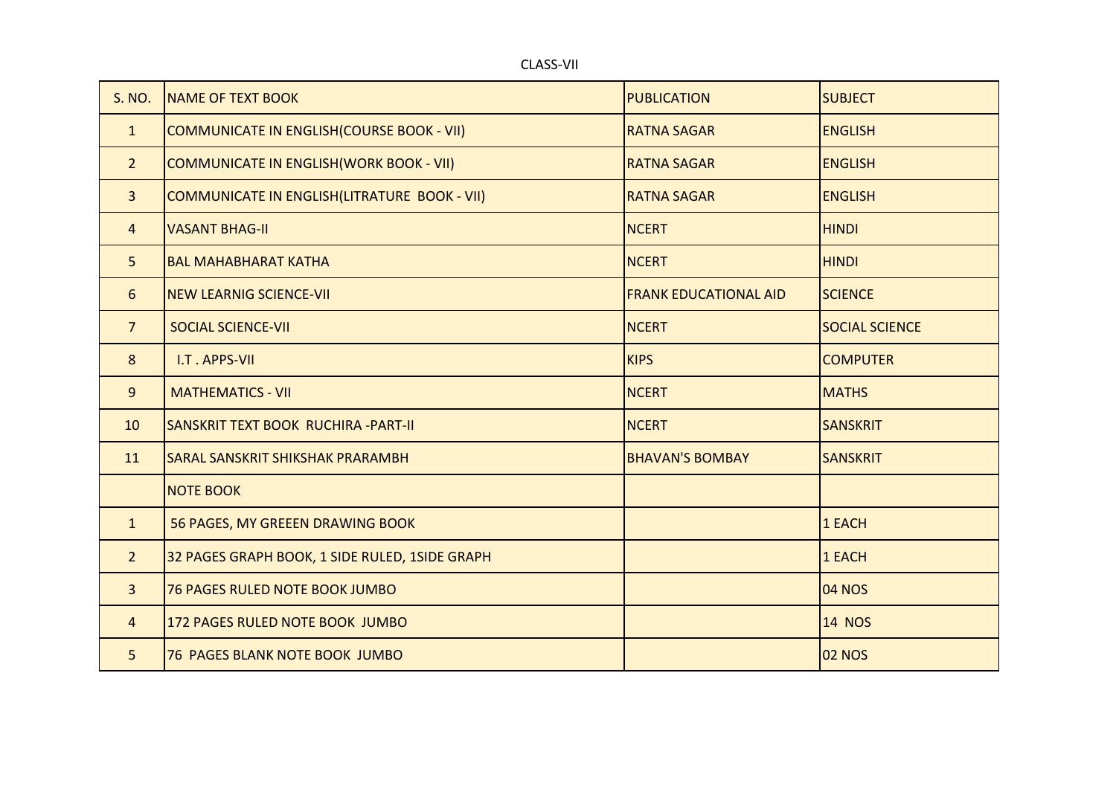| S. NO.         | <b>NAME OF TEXT BOOK</b>                             | <b>PUBLICATION</b>           | <b>SUBJECT</b>        |
|----------------|------------------------------------------------------|------------------------------|-----------------------|
| $\mathbf{1}$   | <b>COMMUNICATE IN ENGLISH (COURSE BOOK - VII)</b>    | <b>RATNA SAGAR</b>           | <b>ENGLISH</b>        |
| 2 <sup>1</sup> | <b>COMMUNICATE IN ENGLISH (WORK BOOK - VII)</b>      | <b>RATNA SAGAR</b>           | <b>ENGLISH</b>        |
| $\overline{3}$ | <b>COMMUNICATE IN ENGLISH (LITRATURE BOOK - VII)</b> | <b>RATNA SAGAR</b>           | <b>ENGLISH</b>        |
| $\overline{4}$ | <b>VASANT BHAG-II</b>                                | <b>NCERT</b>                 | <b>HINDI</b>          |
| 5              | <b>BAL MAHABHARAT KATHA</b>                          | <b>NCERT</b>                 | <b>HINDI</b>          |
| 6              | <b>NEW LEARNIG SCIENCE-VII</b>                       | <b>FRANK EDUCATIONAL AID</b> | <b>SCIENCE</b>        |
| $\overline{7}$ | <b>SOCIAL SCIENCE-VII</b>                            | <b>NCERT</b>                 | <b>SOCIAL SCIENCE</b> |
| 8              | I.T. APPS-VII                                        | <b>KIPS</b>                  | <b>COMPUTER</b>       |
| 9              | <b>MATHEMATICS - VII</b>                             | <b>NCERT</b>                 | <b>MATHS</b>          |
| 10             | SANSKRIT TEXT BOOK RUCHIRA - PART-II                 | <b>NCERT</b>                 | <b>SANSKRIT</b>       |
| 11             | <b>SARAL SANSKRIT SHIKSHAK PRARAMBH</b>              | <b>BHAVAN'S BOMBAY</b>       | <b>SANSKRIT</b>       |
|                | <b>NOTE BOOK</b>                                     |                              |                       |
| $\mathbf{1}$   | 56 PAGES, MY GREEEN DRAWING BOOK                     |                              | 1 EACH                |
| $\overline{2}$ | 32 PAGES GRAPH BOOK, 1 SIDE RULED, 1SIDE GRAPH       |                              | 1 EACH                |
| 3              | 76 PAGES RULED NOTE BOOK JUMBO                       |                              | <b>04 NOS</b>         |
| $\overline{4}$ | 172 PAGES RULED NOTE BOOK JUMBO                      |                              | <b>14 NOS</b>         |
| 5              | <b>76 PAGES BLANK NOTE BOOK JUMBO</b>                |                              | <b>02 NOS</b>         |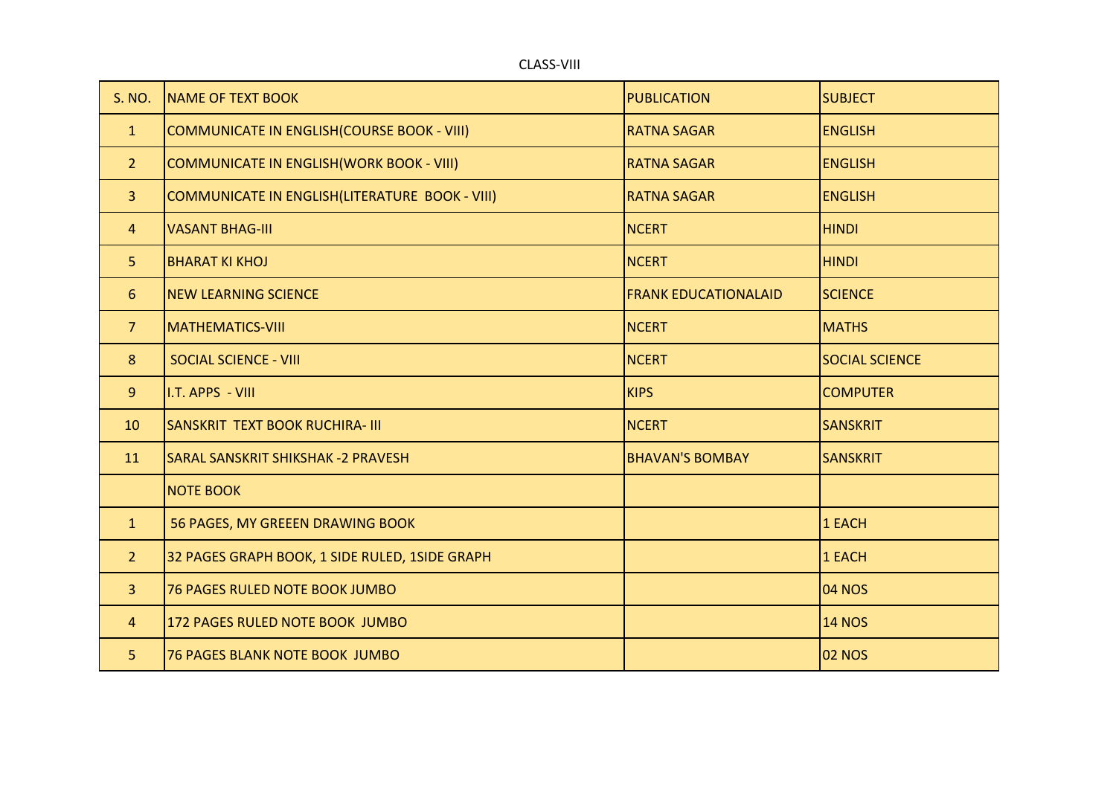|               | <b>CLASS-VIII</b>        |                    |                |
|---------------|--------------------------|--------------------|----------------|
| <b>S. NO.</b> | <b>NAME OF TEXT BOOK</b> | <b>PUBLICATION</b> | <b>SUBJECT</b> |
|               |                          |                    |                |

| $\mathbf{1}$   | COMMUNICATE IN ENGLISH (COURSE BOOK - VIII)     | <b>RATNA SAGAR</b>          | <b>ENGLISH</b>        |
|----------------|-------------------------------------------------|-----------------------------|-----------------------|
| $\overline{2}$ | COMMUNICATE IN ENGLISH (WORK BOOK - VIII)       | <b>RATNA SAGAR</b>          | <b>ENGLISH</b>        |
| 3 <sup>1</sup> | COMMUNICATE IN ENGLISH (LITERATURE BOOK - VIII) | <b>RATNA SAGAR</b>          | <b>ENGLISH</b>        |
| $\overline{4}$ | <b>VASANT BHAG-III</b>                          | <b>NCERT</b>                | <b>HINDI</b>          |
| 5 <sup>1</sup> | <b>BHARAT KI KHOJ</b>                           | <b>NCERT</b>                | <b>HINDI</b>          |
| 6              | <b>NEW LEARNING SCIENCE</b>                     | <b>FRANK EDUCATIONALAID</b> | <b>SCIENCE</b>        |
| 7 <sup>2</sup> | <b>MATHEMATICS-VIII</b>                         | <b>NCERT</b>                | <b>MATHS</b>          |
| 8              | <b>SOCIAL SCIENCE - VIII</b>                    | <b>NCERT</b>                | <b>SOCIAL SCIENCE</b> |
| 9              | I.T. APPS - VIII                                | <b>KIPS</b>                 | <b>COMPUTER</b>       |
| 10             | <b>SANSKRIT TEXT BOOK RUCHIRA- III</b>          | <b>NCERT</b>                | <b>SANSKRIT</b>       |
| 11             | <b>SARAL SANSKRIT SHIKSHAK - 2 PRAVESH</b>      | <b>BHAVAN'S BOMBAY</b>      | <b>SANSKRIT</b>       |
|                | <b>NOTE BOOK</b>                                |                             |                       |
| $\mathbf{1}$   | 56 PAGES, MY GREEEN DRAWING BOOK                |                             | 1 EACH                |
| 2 <sup>2</sup> | 32 PAGES GRAPH BOOK, 1 SIDE RULED, 1SIDE GRAPH  |                             | 1 EACH                |
| 3 <sup>1</sup> | <b>76 PAGES RULED NOTE BOOK JUMBO</b>           |                             | <b>04 NOS</b>         |
| $\overline{4}$ | 172 PAGES RULED NOTE BOOK JUMBO                 |                             | <b>14 NOS</b>         |
| 5              | <b>76 PAGES BLANK NOTE BOOK JUMBO</b>           |                             | <b>02 NOS</b>         |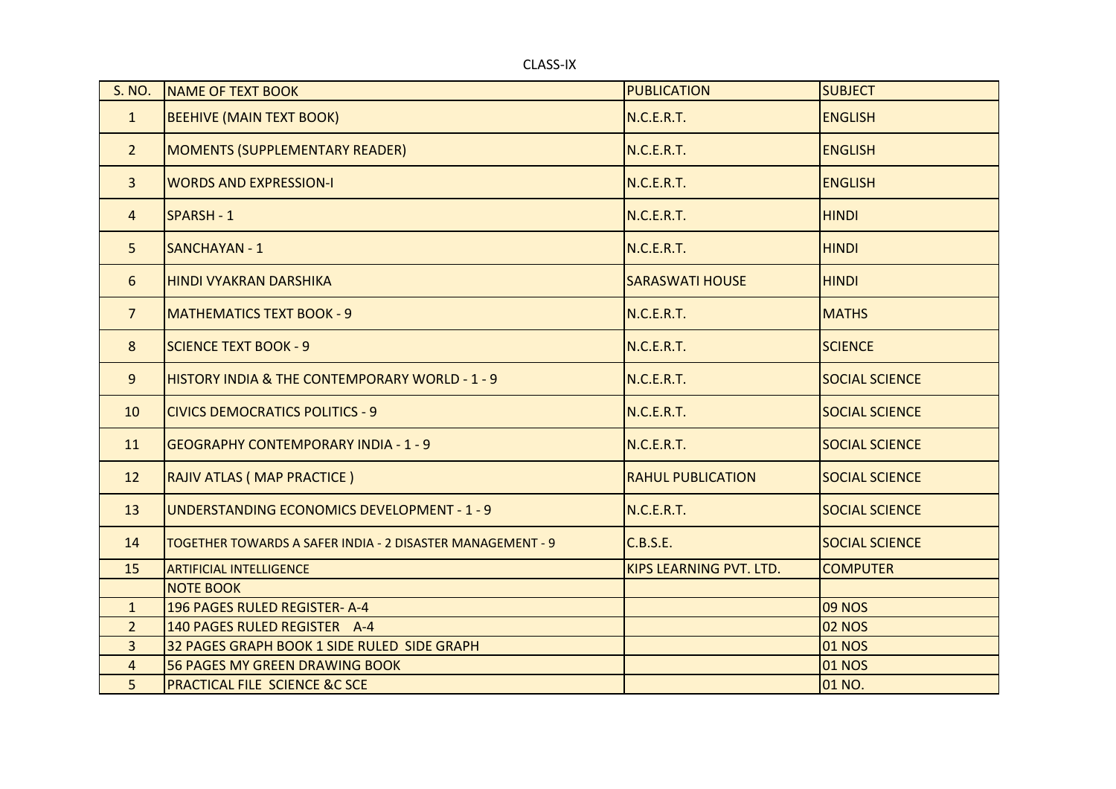CLASS-IX

| <b>S. NO.</b>  | <b>NAME OF TEXT BOOK</b>                                   | <b>PUBLICATION</b>             | <b>SUBJECT</b>        |
|----------------|------------------------------------------------------------|--------------------------------|-----------------------|
| $\mathbf{1}$   | <b>BEEHIVE (MAIN TEXT BOOK)</b>                            | N.C.E.R.T.                     | <b>ENGLISH</b>        |
| $2^{\circ}$    | <b>MOMENTS (SUPPLEMENTARY READER)</b>                      | N.C.E.R.T.                     | <b>ENGLISH</b>        |
| $\overline{3}$ | <b>WORDS AND EXPRESSION-I</b>                              | N.C.E.R.T.                     | <b>ENGLISH</b>        |
| $\overline{4}$ | <b>SPARSH - 1</b>                                          | N.C.E.R.T.                     | <b>HINDI</b>          |
| 5 <sup>1</sup> | <b>SANCHAYAN - 1</b>                                       | N.C.E.R.T.                     | <b>HINDI</b>          |
| 6              | <b>HINDI VYAKRAN DARSHIKA</b>                              | <b>SARASWATI HOUSE</b>         | <b>HINDI</b>          |
| $\overline{7}$ | <b>MATHEMATICS TEXT BOOK - 9</b>                           | N.C.E.R.T.                     | <b>MATHS</b>          |
| 8              | <b>SCIENCE TEXT BOOK - 9</b>                               | N.C.E.R.T.                     | <b>SCIENCE</b>        |
| 9              | <b>HISTORY INDIA &amp; THE CONTEMPORARY WORLD - 1 - 9</b>  | N.C.E.R.T.                     | <b>SOCIAL SCIENCE</b> |
| 10             | <b>CIVICS DEMOCRATICS POLITICS - 9</b>                     | N.C.E.R.T.                     | <b>SOCIAL SCIENCE</b> |
| 11             | <b>GEOGRAPHY CONTEMPORARY INDIA - 1 - 9</b>                | N.C.E.R.T.                     | <b>SOCIAL SCIENCE</b> |
| 12             | RAJIV ATLAS (MAP PRACTICE)                                 | <b>RAHUL PUBLICATION</b>       | <b>SOCIAL SCIENCE</b> |
| 13             | UNDERSTANDING ECONOMICS DEVELOPMENT - 1 - 9                | N.C.E.R.T.                     | <b>SOCIAL SCIENCE</b> |
| 14             | TOGETHER TOWARDS A SAFER INDIA - 2 DISASTER MANAGEMENT - 9 | C.B.S.E.                       | <b>SOCIAL SCIENCE</b> |
| 15             | <b>ARTIFICIAL INTELLIGENCE</b>                             | <b>KIPS LEARNING PVT. LTD.</b> | <b>COMPUTER</b>       |
|                | <b>NOTE BOOK</b>                                           |                                |                       |
| $\mathbf{1}$   | 196 PAGES RULED REGISTER- A-4                              |                                | <b>09 NOS</b>         |
| 2 <sup>1</sup> | 140 PAGES RULED REGISTER A-4                               |                                | <b>02 NOS</b>         |
| $\overline{3}$ | 32 PAGES GRAPH BOOK 1 SIDE RULED SIDE GRAPH                |                                | <b>01 NOS</b>         |
| 4              | <b>56 PAGES MY GREEN DRAWING BOOK</b>                      |                                | <b>01 NOS</b>         |
| 5              | <b>PRACTICAL FILE SCIENCE &amp;C SCE</b>                   |                                | 01 NO.                |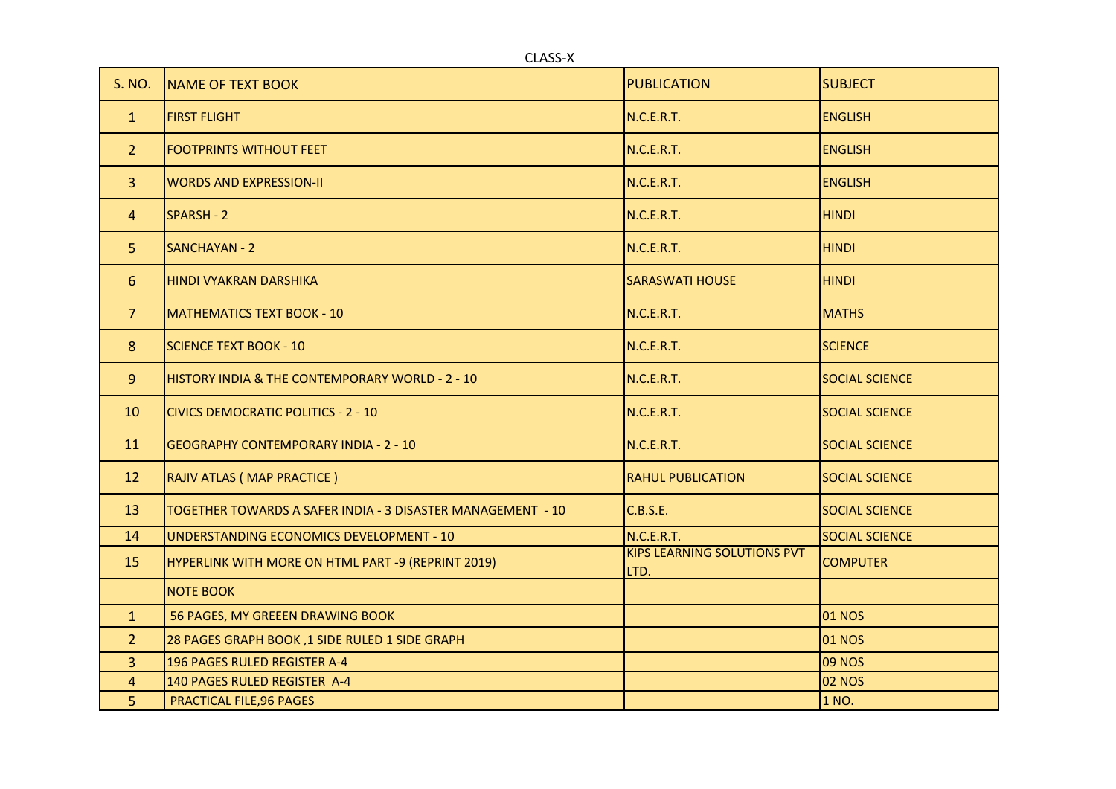CLASS-X

| S. NO.         | <b>NAME OF TEXT BOOK</b>                                    | <b>PUBLICATION</b>                         | <b>SUBJECT</b>        |
|----------------|-------------------------------------------------------------|--------------------------------------------|-----------------------|
| $\mathbf{1}$   | <b>FIRST FLIGHT</b>                                         | N.C.E.R.T.                                 | <b>ENGLISH</b>        |
| $\overline{2}$ | <b>FOOTPRINTS WITHOUT FEET</b>                              | N.C.E.R.T.                                 | <b>ENGLISH</b>        |
| $\mathbf{3}$   | <b>WORDS AND EXPRESSION-II</b>                              | N.C.E.R.T.                                 | <b>ENGLISH</b>        |
| $\overline{4}$ | SPARSH - 2                                                  | N.C.E.R.T.                                 | <b>HINDI</b>          |
| 5 <sup>5</sup> | <b>SANCHAYAN - 2</b>                                        | N.C.E.R.T.                                 | <b>HINDI</b>          |
| 6              | HINDI VYAKRAN DARSHIKA                                      | <b>SARASWATI HOUSE</b>                     | <b>HINDI</b>          |
| 7 <sup>1</sup> | MATHEMATICS TEXT BOOK - 10                                  | N.C.E.R.T.                                 | <b>MATHS</b>          |
| 8              | <b>SCIENCE TEXT BOOK - 10</b>                               | N.C.E.R.T.                                 | <b>SCIENCE</b>        |
| 9              | <b>HISTORY INDIA &amp; THE CONTEMPORARY WORLD - 2 - 10</b>  | <b>N.C.E.R.T.</b>                          | <b>SOCIAL SCIENCE</b> |
| 10             | <b>CIVICS DEMOCRATIC POLITICS - 2 - 10</b>                  | N.C.E.R.T.                                 | <b>SOCIAL SCIENCE</b> |
| 11             | <b>GEOGRAPHY CONTEMPORARY INDIA - 2 - 10</b>                | N.C.E.R.T.                                 | <b>SOCIAL SCIENCE</b> |
| 12             | RAJIV ATLAS (MAP PRACTICE)                                  | <b>RAHUL PUBLICATION</b>                   | <b>SOCIAL SCIENCE</b> |
| 13             | TOGETHER TOWARDS A SAFER INDIA - 3 DISASTER MANAGEMENT - 10 | C.B.S.E.                                   | <b>SOCIAL SCIENCE</b> |
| 14             | UNDERSTANDING ECONOMICS DEVELOPMENT - 10                    | N.C.E.R.T.                                 | <b>SOCIAL SCIENCE</b> |
| 15             | HYPERLINK WITH MORE ON HTML PART -9 (REPRINT 2019)          | <b>KIPS LEARNING SOLUTIONS PVT</b><br>LTD. | <b>COMPUTER</b>       |
|                | <b>NOTE BOOK</b>                                            |                                            |                       |
| $\mathbf{1}$   | 56 PAGES, MY GREEEN DRAWING BOOK                            |                                            | <b>01 NOS</b>         |
| $\overline{2}$ | 28 PAGES GRAPH BOOK, 1 SIDE RULED 1 SIDE GRAPH              |                                            | <b>01 NOS</b>         |
| $\mathbf{3}$   | 196 PAGES RULED REGISTER A-4                                |                                            | <b>09 NOS</b>         |
| $\overline{4}$ | 140 PAGES RULED REGISTER A-4                                |                                            | <b>02 NOS</b>         |
| 5              | <b>PRACTICAL FILE, 96 PAGES</b>                             |                                            | 1 NO.                 |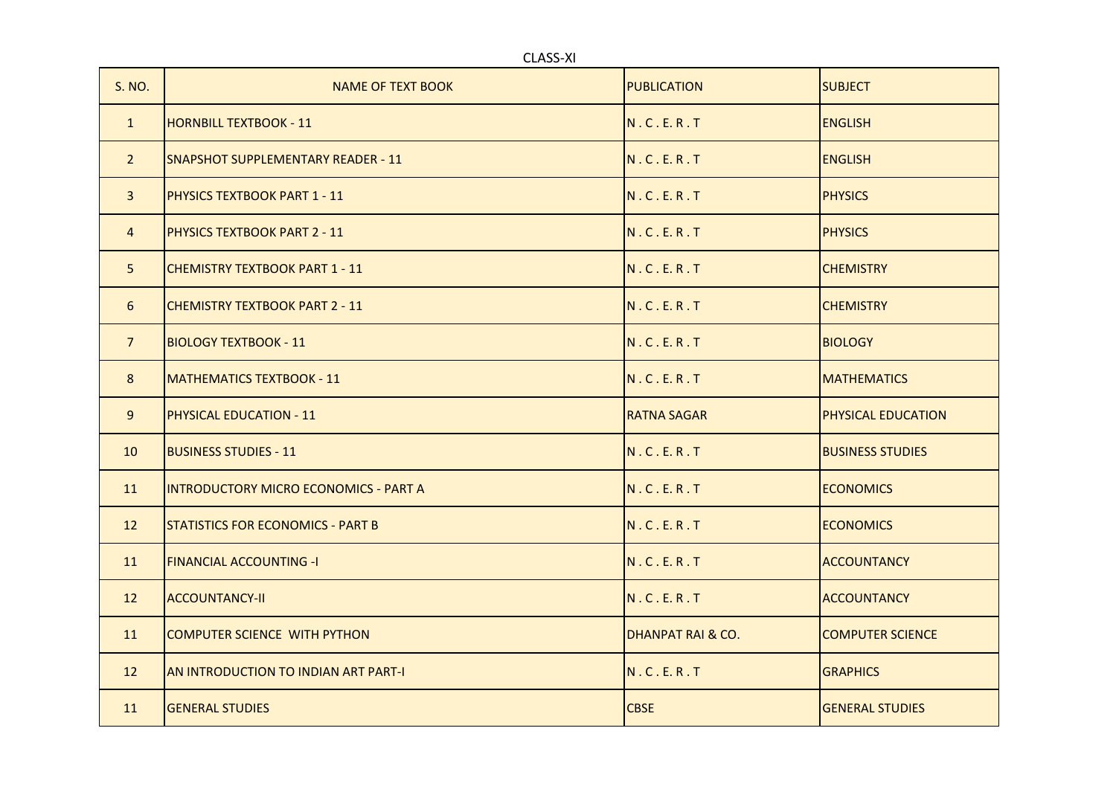| <b>CLASS-XI</b> |                                          |                    |                           |
|-----------------|------------------------------------------|--------------------|---------------------------|
| S. NO.          | NAME OF TEXT BOOK                        | <b>PUBLICATION</b> | <b>SUBJECT</b>            |
| $\mathbf{1}$    | <b>HORNBILL TEXTBOOK - 11</b>            | N.C.E.R.T          | <b>ENGLISH</b>            |
| $\overline{2}$  | ISNAPSHOT SUPPLEMENTARY READER - 11      | N.C.E.R.T          | <b>ENGLISH</b>            |
| $\overline{3}$  | <b>PHYSICS TEXTBOOK PART 1 - 11</b>      | N.C.E.R.T          | <b>PHYSICS</b>            |
| $\overline{4}$  | <b>PHYSICS TEXTBOOK PART 2 - 11</b>      | N.C.E.R.T          | <b>PHYSICS</b>            |
| 5               | <b>CHEMISTRY TEXTBOOK PART 1 - 11</b>    | N.C.E.R.T          | <b>CHEMISTRY</b>          |
| 6               | <b>CHEMISTRY TEXTBOOK PART 2 - 11</b>    | N.C.E.R.T          | <b>CHEMISTRY</b>          |
| $\overline{7}$  | <b>BIOLOGY TEXTBOOK - 11</b>             | N.C.E.R.T          | <b>BIOLOGY</b>            |
| 8               | <b>MATHEMATICS TEXTBOOK - 11</b>         | N.C.E.R.T          | <b>MATHEMATICS</b>        |
| 9               | <b>PHYSICAL EDUCATION - 11</b>           | <b>RATNA SAGAR</b> | <b>PHYSICAL EDUCATION</b> |
| 10              | <b>BUSINESS STUDIES - 11</b>             | N.C.E.R.T          | <b>BUSINESS STUDIES</b>   |
| 11              | INTRODUCTORY MICRO ECONOMICS - PART A    | N.C.E.R.T          | <b>ECONOMICS</b>          |
| 12              | <b>STATISTICS FOR ECONOMICS - PART B</b> | N.C.E.R.T          | <b>ECONOMICS</b>          |
| 11              | <b>FINANCIAL ACCOUNTING -I</b>           | N.C.E.R.T          | <b>ACCOUNTANCY</b>        |
| 12              | <b>ACCOUNTANCY-II</b>                    | N.C.E.R.T          | <b>ACCOUNTANCY</b>        |
| 11              | <b>COMPUTER SCIENCE WITH PYTHON</b>      | DHANPAT RAI & CO.  | <b>ICOMPUTER SCIENCE</b>  |
| 12              | AN INTRODUCTION TO INDIAN ART PART-I     | N.C.E.R.T          | <b>GRAPHICS</b>           |
| 11              | <b>GENERAL STUDIES</b>                   | <b>CBSE</b>        | <b>IGENERAL STUDIES</b>   |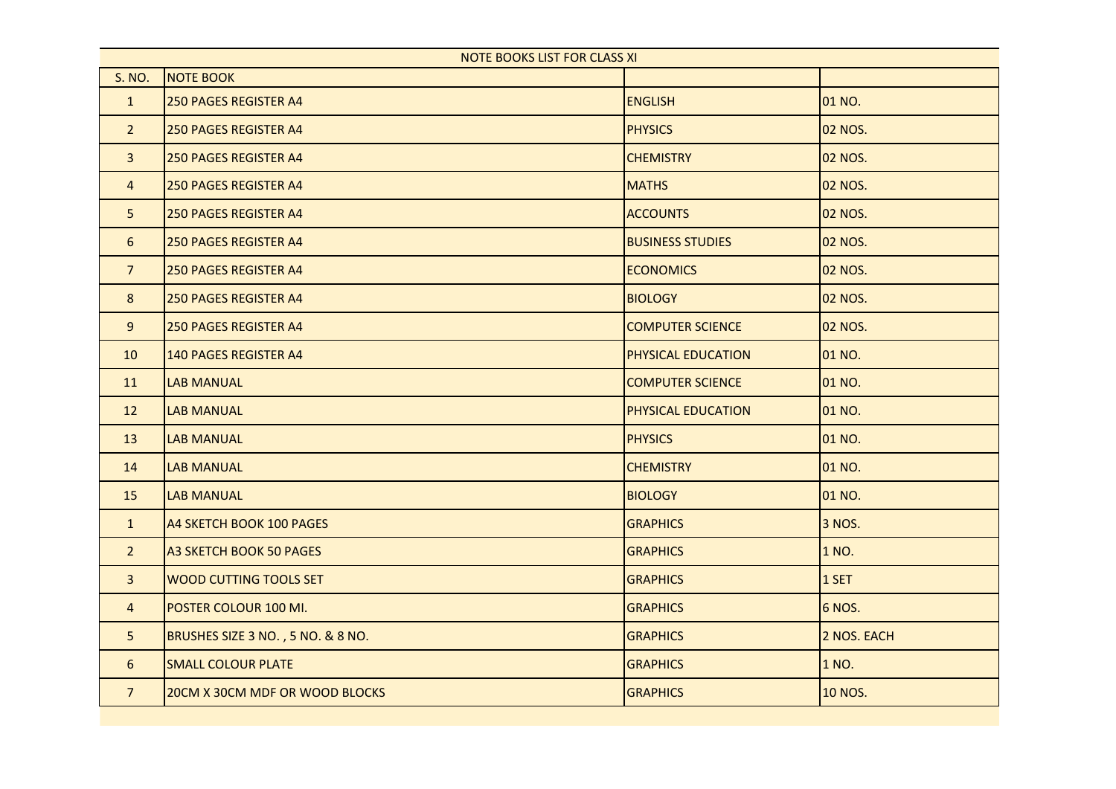| <b>NOTE BOOKS LIST FOR CLASS XI</b> |                                   |                         |                |
|-------------------------------------|-----------------------------------|-------------------------|----------------|
| <b>S. NO.</b>                       | <b>NOTE BOOK</b>                  |                         |                |
| $\mathbf{1}$                        | <b>250 PAGES REGISTER A4</b>      | <b>ENGLISH</b>          | 01 NO.         |
| 2 <sup>2</sup>                      | <b>250 PAGES REGISTER A4</b>      | <b>PHYSICS</b>          | <b>02 NOS.</b> |
| $\overline{3}$                      | <b>250 PAGES REGISTER A4</b>      | <b>CHEMISTRY</b>        | <b>02 NOS.</b> |
| $\overline{4}$                      | <b>250 PAGES REGISTER A4</b>      | <b>MATHS</b>            | <b>02 NOS.</b> |
| 5 <sub>1</sub>                      | <b>250 PAGES REGISTER A4</b>      | <b>ACCOUNTS</b>         | <b>02 NOS.</b> |
| 6                                   | <b>250 PAGES REGISTER A4</b>      | <b>BUSINESS STUDIES</b> | <b>02 NOS.</b> |
| $7\overline{ }$                     | <b>250 PAGES REGISTER A4</b>      | <b>ECONOMICS</b>        | <b>02 NOS.</b> |
| 8                                   | <b>250 PAGES REGISTER A4</b>      | <b>BIOLOGY</b>          | <b>02 NOS.</b> |
| 9                                   | <b>250 PAGES REGISTER A4</b>      | <b>COMPUTER SCIENCE</b> | 02 NOS.        |
| 10                                  | <b>140 PAGES REGISTER A4</b>      | PHYSICAL EDUCATION      | 01 NO.         |
| 11                                  | <b>LAB MANUAL</b>                 | <b>COMPUTER SCIENCE</b> | 01 NO.         |
| 12                                  | <b>LAB MANUAL</b>                 | PHYSICAL EDUCATION      | 01 NO.         |
| 13                                  | <b>LAB MANUAL</b>                 | <b>PHYSICS</b>          | 01 NO.         |
| 14                                  | <b>LAB MANUAL</b>                 | <b>CHEMISTRY</b>        | 01 NO.         |
| 15                                  | <b>LAB MANUAL</b>                 | <b>BIOLOGY</b>          | 01 NO.         |
| $\mathbf{1}$                        | A4 SKETCH BOOK 100 PAGES          | <b>GRAPHICS</b>         | 3 NOS.         |
| 2 <sup>1</sup>                      | <b>A3 SKETCH BOOK 50 PAGES</b>    | <b>GRAPHICS</b>         | 1 NO.          |
| $\mathbf{3}$                        | <b>WOOD CUTTING TOOLS SET</b>     | <b>GRAPHICS</b>         | 1 SET          |
| $\overline{4}$                      | POSTER COLOUR 100 MI.             | <b>GRAPHICS</b>         | <b>6 NOS.</b>  |
| 5                                   | BRUSHES SIZE 3 NO., 5 NO. & 8 NO. | <b>GRAPHICS</b>         | 2 NOS. EACH    |
| 6                                   | <b>SMALL COLOUR PLATE</b>         | <b>GRAPHICS</b>         | 1 NO.          |
| $\overline{7}$                      | 20CM X 30CM MDF OR WOOD BLOCKS    | <b>GRAPHICS</b>         | <b>10 NOS.</b> |